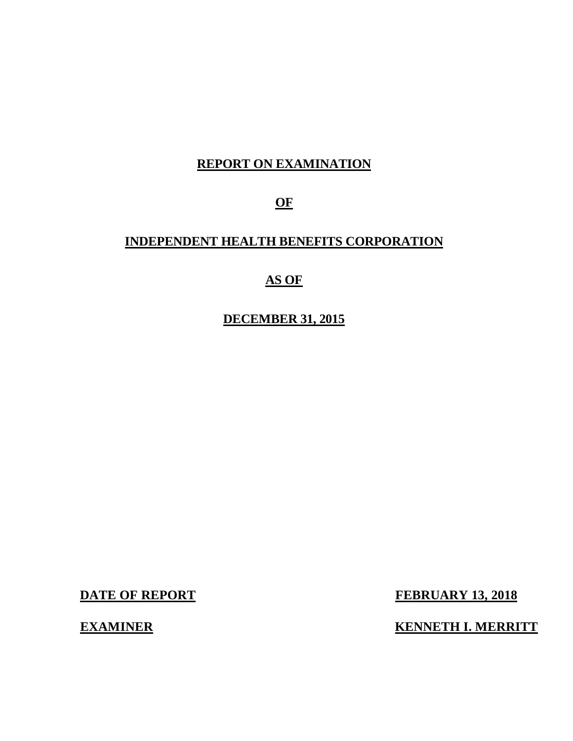## **REPORT ON EXAMINATION**

**OF** 

## **INDEPENDENT HEALTH BENEFITS CORPORATION**

## **AS OF**

 **DECEMBER 31, 2015** 

**EXAMINER** 

**DATE OF REPORT FEBRUARY 13, 2018** 

**KENNETH I. MERRITT**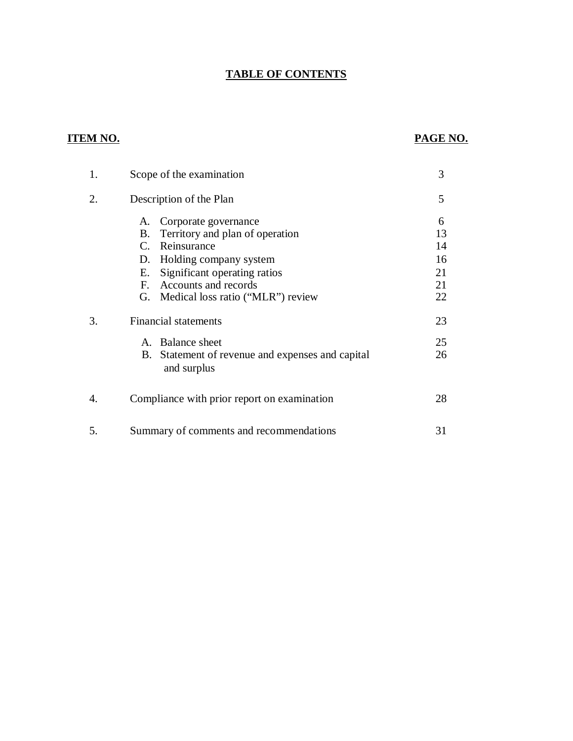### **TABLE OF CONTENTS**

## **ITEM NO. PAGE NO.**

| 1. | Scope of the examination                                                                                                                                                                                                                                  | 3                                     |
|----|-----------------------------------------------------------------------------------------------------------------------------------------------------------------------------------------------------------------------------------------------------------|---------------------------------------|
| 2. | Description of the Plan                                                                                                                                                                                                                                   | 5                                     |
|    | Corporate governance<br>А.<br>Territory and plan of operation<br>B.<br>Reinsurance<br>$C_{\cdot}$<br>Holding company system<br>D.<br>Significant operating ratios<br>Е.<br>Accounts and records<br>$F_{\cdot}$<br>Medical loss ratio ("MLR") review<br>G. | 6<br>13<br>14<br>16<br>21<br>21<br>22 |
| 3. | <b>Financial statements</b>                                                                                                                                                                                                                               | 23                                    |
|    | A. Balance sheet<br>B. Statement of revenue and expenses and capital<br>and surplus                                                                                                                                                                       | 25<br>26                              |
| 4. | Compliance with prior report on examination                                                                                                                                                                                                               | 28                                    |
| 5. | Summary of comments and recommendations                                                                                                                                                                                                                   | 31                                    |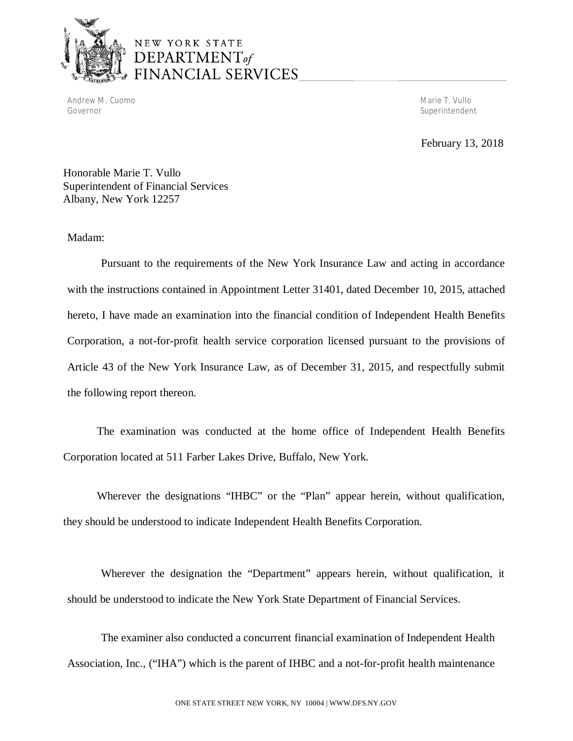

## NEW YORK STATE  $$ FINANCIAL SERVICES

 Andrew M. Cuomo Marie T. Vullo Governor

Superintendent

February 13, 2018

 Honorable Marie T. Vullo Superintendent of Financial Services Albany, New York 12257

### Madam:

 Madam: Pursuant to the requirements of the New York Insurance Law and acting in accordance with the instructions contained in Appointment Letter 31401, dated December 10, 2015, attached hereto, I have made an examination into the financial condition of Independent Health Benefits Corporation, a not-for-profit health service corporation licensed pursuant to the provisions of Article 43 of the New York Insurance Law, as of December 31, 2015, and respectfully submit the following report thereon.

 The examination was conducted at the home office of Independent Health Benefits Corporation located at 511 Farber Lakes Drive, Buffalo, New York.

 Wherever the designations "IHBC" or the "Plan" appear herein, without qualification, they should be understood to indicate Independent Health Benefits Corporation.

 Wherever the designation the "Department" appears herein, without qualification, it should be understood to indicate the New York State Department of Financial Services.

 Association, Inc., ("IHA") which is the parent of IHBC and a not-for-profit health maintenance The examiner also conducted a concurrent financial examination of Independent Health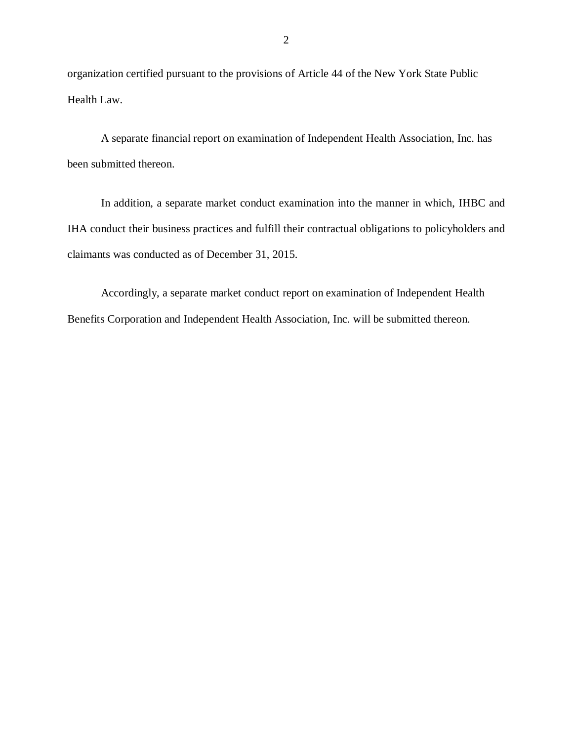organization certified pursuant to the provisions of Article 44 of the New York State Public Health Law.

A separate financial report on examination of Independent Health Association, Inc. has been submitted thereon.

 In addition, a separate market conduct examination into the manner in which, IHBC and IHA conduct their business practices and fulfill their contractual obligations to policyholders and claimants was conducted as of December 31, 2015.

 Accordingly, a separate market conduct report on examination of Independent Health Benefits Corporation and Independent Health Association, Inc. will be submitted thereon.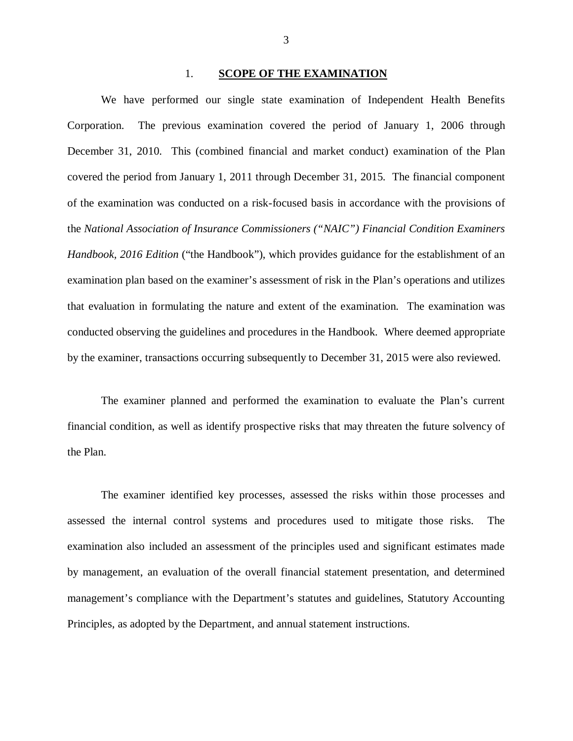#### 1. **SCOPE OF THE EXAMINATION**

Corporation. December 31, 2010. This (combined financial and market conduct) examination of the Plan covered the period from January 1, 2011 through December 31, 2015. The financial component of the examination was conducted on a risk-focused basis in accordance with the provisions of  the *National Association of Insurance Commissioners ("NAIC") Financial Condition Examiners Handbook, 2016 Edition* ("the Handbook"), which provides guidance for the establishment of an examination plan based on the examiner's assessment of risk in the Plan's operations and utilizes that evaluation in formulating the nature and extent of the examination. The examination was conducted observing the guidelines and procedures in the Handbook. Where deemed appropriate by the examiner, transactions occurring subsequently to December 31, 2015 were also reviewed. We have performed our single state examination of Independent Health Benefits The previous examination covered the period of January 1, 2006 through

 financial condition, as well as identify prospective risks that may threaten the future solvency of the Plan. The examiner planned and performed the examination to evaluate the Plan's current

 assessed the internal control systems and procedures used to mitigate those risks. The examination also included an assessment of the principles used and significant estimates made by management, an evaluation of the overall financial statement presentation, and determined management's compliance with the Department's statutes and guidelines, Statutory Accounting Principles, as adopted by the Department, and annual statement instructions. The examiner identified key processes, assessed the risks within those processes and

3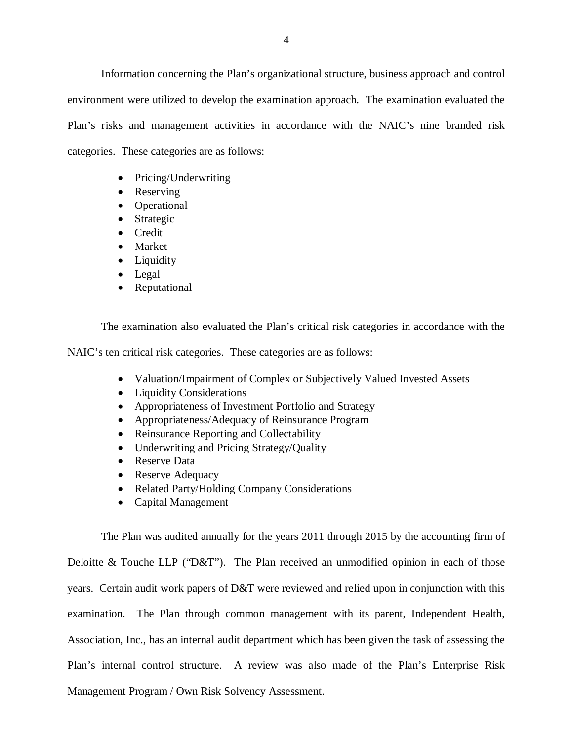Information concerning the Plan's organizational structure, business approach and control environment were utilized to develop the examination approach. The examination evaluated the Plan's risks and management activities in accordance with the NAIC's nine branded risk categories. These categories are as follows:

- Pricing/Underwriting
- Reserving
- Operational
- Strategic
- Credit
- Market
- Liquidity
- Legal
- Reputational

The examination also evaluated the Plan's critical risk categories in accordance with the

NAIC's ten critical risk categories. These categories are as follows:

- Valuation/Impairment of Complex or Subjectively Valued Invested Assets
- Liquidity Considerations
- Appropriateness of Investment Portfolio and Strategy
- Appropriateness/Adequacy of Reinsurance Program
- Reinsurance Reporting and Collectability
- Underwriting and Pricing Strategy/Quality
- Reserve Data
- Reserve Adequacy
- Related Party/Holding Company Considerations
- Capital Management

 The Plan was audited annually for the years 2011 through 2015 by the accounting firm of Deloitte & Touche LLP ("D&T"). The Plan received an unmodified opinion in each of those years. Certain audit work papers of D&T were reviewed and relied upon in conjunction with this examination. The Plan through common management with its parent, Independent Health, Association, Inc., has an internal audit department which has been given the task of assessing the Plan's internal control structure. A review was also made of the Plan's Enterprise Risk Management Program / Own Risk Solvency Assessment.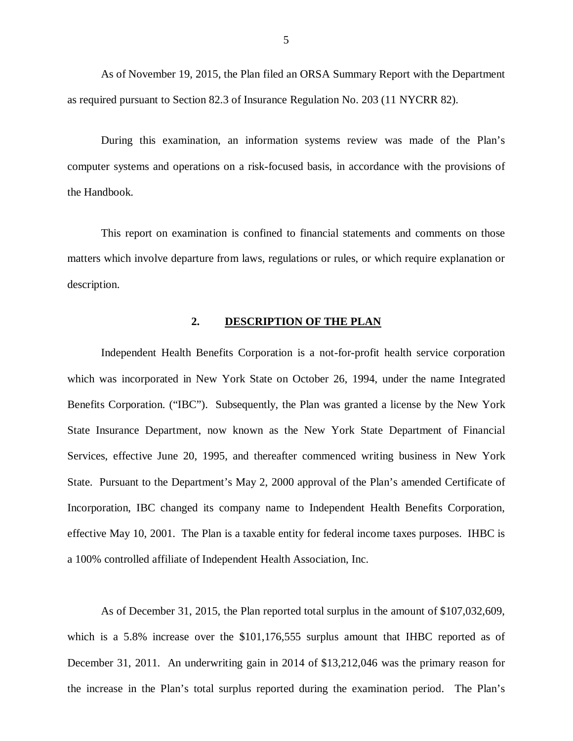<span id="page-6-0"></span> As of November 19, 2015, the Plan filed an ORSA Summary Report with the Department as required pursuant to Section 82.3 of Insurance Regulation No. 203 (11 NYCRR 82).

 During this examination, an information systems review was made of the Plan's computer systems and operations on a risk-focused basis, in accordance with the provisions of the Handbook.

 matters which involve departure from laws, regulations or rules, or which require explanation or This report on examination is confined to financial statements and comments on those description.

#### **2. DESCRIPTION OF THE PLAN**

 Independent Health Benefits Corporation is a not-for-profit health service corporation which was incorporated in New York State on October 26, 1994, under the name Integrated Benefits Corporation. ("IBC"). Subsequently, the Plan was granted a license by the New York State Insurance Department, now known as the New York State Department of Financial Services, effective June 20, 1995, and thereafter commenced writing business in New York State. Pursuant to the Department's May 2, 2000 approval of the Plan's amended Certificate of Incorporation, IBC changed its company name to Independent Health Benefits Corporation, effective May 10, 2001. The Plan is a taxable entity for federal income taxes purposes. IHBC is a 100% controlled affiliate of Independent Health Association, Inc.

 As of December 31, 2015, the Plan reported total surplus in the amount of \$107,032,609, which is a 5.8% increase over the \$101,176,555 surplus amount that IHBC reported as of December 31, 2011. An underwriting gain in 2014 of \$13,212,046 was the primary reason for the increase in the Plan's total surplus reported during the examination period. The Plan's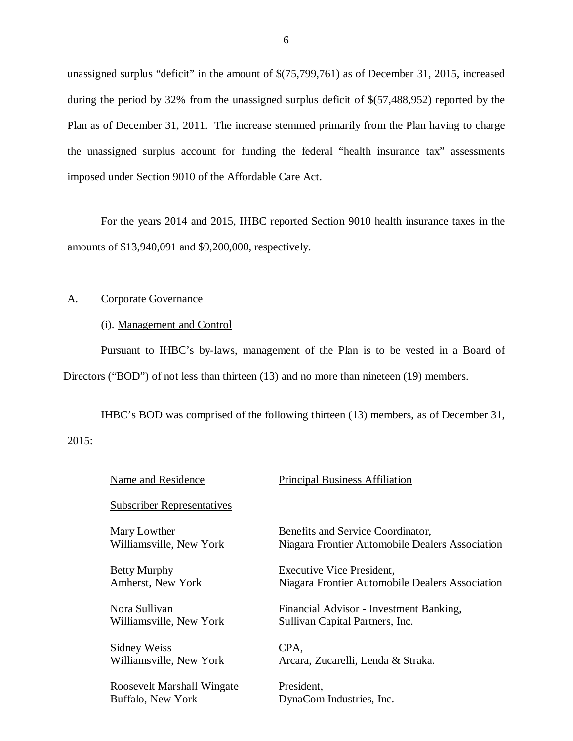<span id="page-7-0"></span> unassigned surplus "deficit" in the amount of \$(75,799,761) as of December 31, 2015, increased during the period by 32% from the unassigned surplus deficit of \$(57,488,952) reported by the Plan as of December 31, 2011. The increase stemmed primarily from the Plan having to charge the unassigned surplus account for funding the federal "health insurance tax" assessments imposed under Section 9010 of the Affordable Care Act.

 amounts of \$13,940,091 and \$9,200,000, respectively. For the years 2014 and 2015, IHBC reported Section 9010 health insurance taxes in the

#### $A<sub>1</sub>$ Corporate Governance

#### (i). Management and Control

 Pursuant to IHBC's by-laws, management of the Plan is to be vested in a Board of Directors ("BOD") of not less than thirteen (13) and no more than nineteen (19) members.

 IHBC's BOD was comprised of the following thirteen (13) members, as of December 31, 2015:

| Benefits and Service Coordinator,<br>Niagara Frontier Automobile Dealers Association |
|--------------------------------------------------------------------------------------|
| <b>Executive Vice President,</b><br>Niagara Frontier Automobile Dealers Association  |
| Financial Advisor - Investment Banking,<br>Sullivan Capital Partners, Inc.           |
| Arcara, Zucarelli, Lenda & Straka.                                                   |
| DynaCom Industries, Inc.                                                             |
|                                                                                      |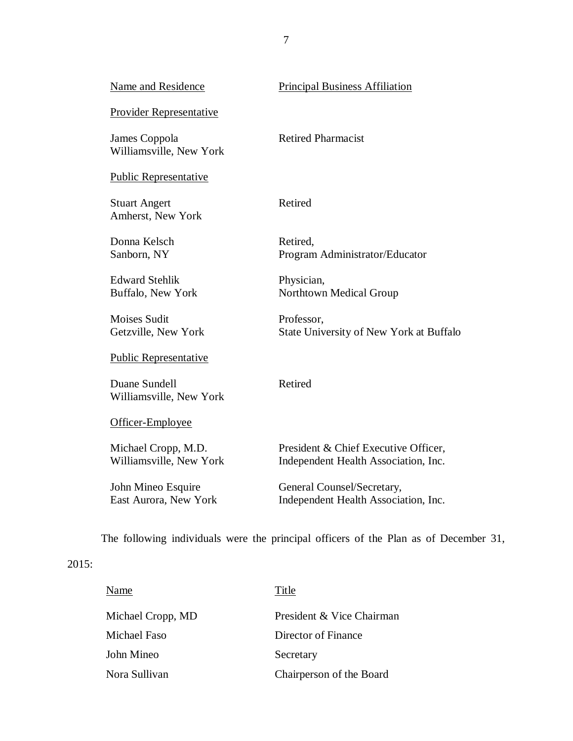| <b>Name and Residence</b>                      | <b>Principal Business Affiliation</b>                                        |
|------------------------------------------------|------------------------------------------------------------------------------|
| <b>Provider Representative</b>                 |                                                                              |
| James Coppola<br>Williamsville, New York       | <b>Retired Pharmacist</b>                                                    |
| <b>Public Representative</b>                   |                                                                              |
| <b>Stuart Angert</b><br>Amherst, New York      | Retired                                                                      |
| Donna Kelsch<br>Sanborn, NY                    | Retired,<br>Program Administrator/Educator                                   |
| <b>Edward Stehlik</b><br>Buffalo, New York     | Physician,<br>Northtown Medical Group                                        |
| <b>Moises Sudit</b><br>Getzville, New York     | Professor,<br>State University of New York at Buffalo                        |
| <b>Public Representative</b>                   |                                                                              |
| Duane Sundell<br>Williamsville, New York       | Retired                                                                      |
| Officer-Employee                               |                                                                              |
| Michael Cropp, M.D.<br>Williamsville, New York | President & Chief Executive Officer,<br>Independent Health Association, Inc. |
| John Mineo Esquire<br>East Aurora, New York    | General Counsel/Secretary,<br>Independent Health Association, Inc.           |

The following individuals were the principal officers of the Plan as of December 31,

## 2015:

| Name              | Title                     |
|-------------------|---------------------------|
| Michael Cropp, MD | President & Vice Chairman |
| Michael Faso      | Director of Finance       |
| John Mineo        | Secretary                 |
| Nora Sullivan     | Chairperson of the Board  |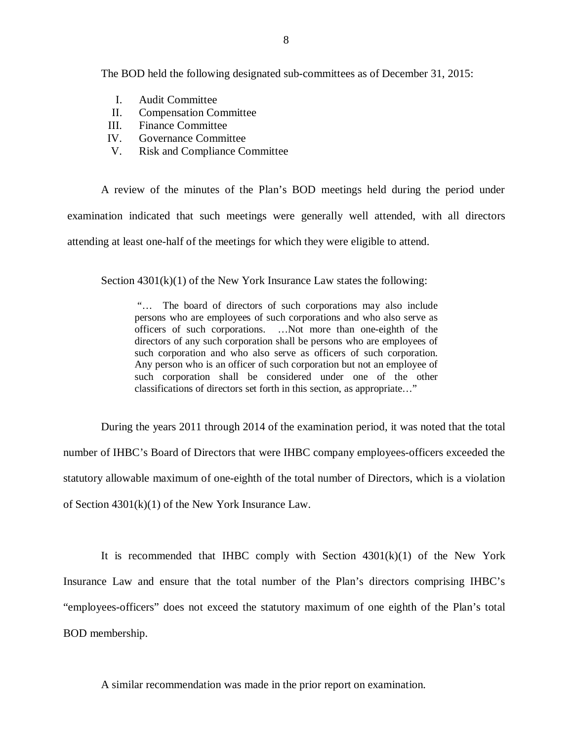The BOD held the following designated sub-committees as of December 31, 2015:

- I. Audit Committee
- II. Compensation Committee
- III. Finance Committee
- IV. Governance Committee
- V. Risk and Compliance Committee

 examination indicated that such meetings were generally well attended, with all directors attending at least one-half of the meetings for which they were eligible to attend. A review of the minutes of the Plan's BOD meetings held during the period under

Section  $4301(k)(1)$  of the New York Insurance Law states the following:

 "… The board of directors of such corporations may also include persons who are employees of such corporations and who also serve as officers of such corporations. …Not more than one-eighth of the directors of any such corporation shall be persons who are employees of such corporation and who also serve as officers of such corporation. Any person who is an officer of such corporation but not an employee of such corporation shall be considered under one of the other classifications of directors set forth in this section, as appropriate…"

 During the years 2011 through 2014 of the examination period, it was noted that the total number of IHBC's Board of Directors that were IHBC company employees-officers exceeded the statutory allowable maximum of one-eighth of the total number of Directors, which is a violation of Section 4301(k)(1) of the New York Insurance Law.

 Insurance Law and ensure that the total number of the Plan's directors comprising IHBC's "employees-officers" does not exceed the statutory maximum of one eighth of the Plan's total It is recommended that IHBC comply with Section  $4301(k)(1)$  of the New York BOD membership.

A similar recommendation was made in the prior report on examination.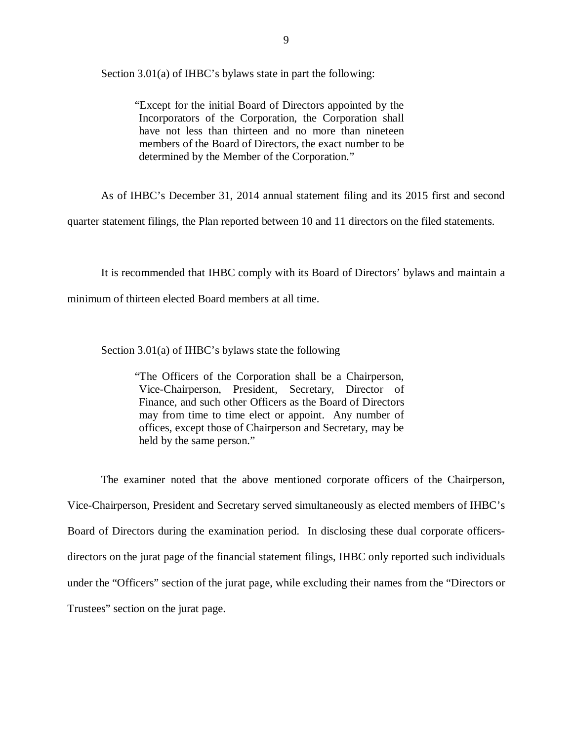Section 3.01(a) of IHBC's bylaws state in part the following:

 "Except for the initial Board of Directors appointed by the Incorporators of the Corporation, the Corporation shall have not less than thirteen and no more than nineteen members of the Board of Directors, the exact number to be determined by the Member of the Corporation."

As of IHBC's December 31, 2014 annual statement filing and its 2015 first and second

quarter statement filings, the Plan reported between 10 and 11 directors on the filed statements.

It is recommended that IHBC comply with its Board of Directors' bylaws and maintain a

minimum of thirteen elected Board members at all time.

Section 3.01(a) of IHBC's bylaws state the following

 "The Officers of the Corporation shall be a Chairperson, Vice-Chairperson, President, Secretary, Director of Finance, and such other Officers as the Board of Directors may from time to time elect or appoint. Any number of offices, except those of Chairperson and Secretary, may be held by the same person."

 Vice-Chairperson, President and Secretary served simultaneously as elected members of IHBC's Board of Directors during the examination period. In disclosing these dual corporate officers- directors on the jurat page of the financial statement filings, IHBC only reported such individuals under the "Officers" section of the jurat page, while excluding their names from the "Directors or Trustees" section on the jurat page. The examiner noted that the above mentioned corporate officers of the Chairperson,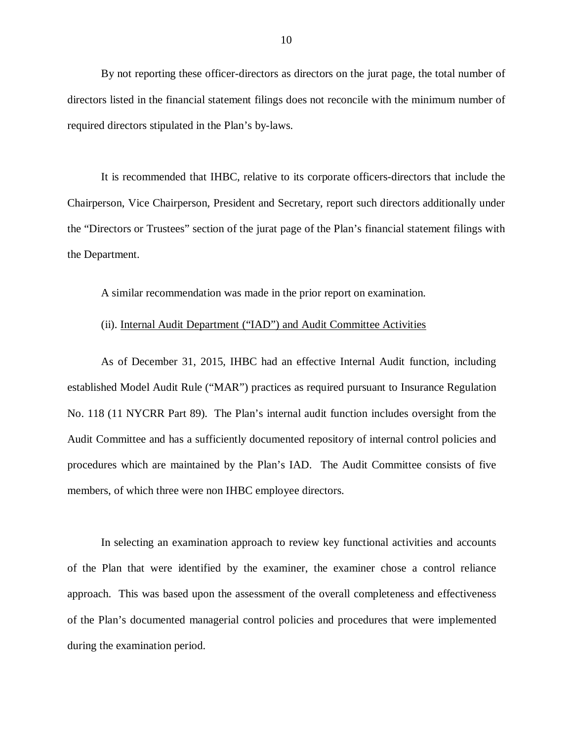directors listed in the financial statement filings does not reconcile with the minimum number of required directors stipulated in the Plan's by-laws. By not reporting these officer-directors as directors on the jurat page, the total number of

 Chairperson, Vice Chairperson, President and Secretary, report such directors additionally under the "Directors or Trustees" section of the jurat page of the Plan's financial statement filings with the Department. It is recommended that IHBC, relative to its corporate officers-directors that include the

A similar recommendation was made in the prior report on examination.

#### (ii). Internal Audit Department ("IAD") and Audit Committee Activities

 established Model Audit Rule ("MAR") practices as required pursuant to Insurance Regulation No. 118 (11 NYCRR Part 89). The Plan's internal audit function includes oversight from the Audit Committee and has a sufficiently documented repository of internal control policies and procedures which are maintained by the Plan's IAD. The Audit Committee consists of five members, of which three were non IHBC employee directors. As of December 31, 2015, IHBC had an effective Internal Audit function, including

 of the Plan that were identified by the examiner, the examiner chose a control reliance approach. This was based upon the assessment of the overall completeness and effectiveness of the Plan's documented managerial control policies and procedures that were implemented during the examination period. In selecting an examination approach to review key functional activities and accounts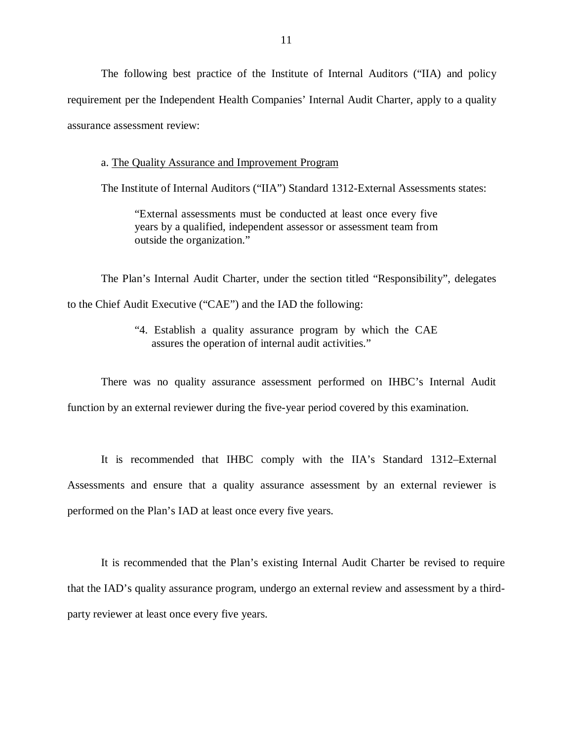requirement per the Independent Health Companies' Internal Audit Charter, apply to a quality assurance assessment review: The following best practice of the Institute of Internal Auditors ("IIA) and policy

#### a. The Quality Assurance and Improvement Program

The Institute of Internal Auditors ("IIA") Standard 1312-External Assessments states:

 "External assessments must be conducted at least once every five years by a qualified, independent assessor or assessment team from outside the organization."

 to the Chief Audit Executive ("CAE") and the IAD the following: The Plan's Internal Audit Charter, under the section titled "Responsibility", delegates

> "4. Establish a quality assurance program by which the CAE assures the operation of internal audit activities."

 There was no quality assurance assessment performed on IHBC's Internal Audit function by an external reviewer during the five-year period covered by this examination.

 Assessments and ensure that a quality assurance assessment by an external reviewer is performed on the Plan's IAD at least once every five years. It is recommended that IHBC comply with the IIA's Standard 1312–External

 that the IAD's quality assurance program, undergo an external review and assessment by a third- party reviewer at least once every five years. It is recommended that the Plan's existing Internal Audit Charter be revised to require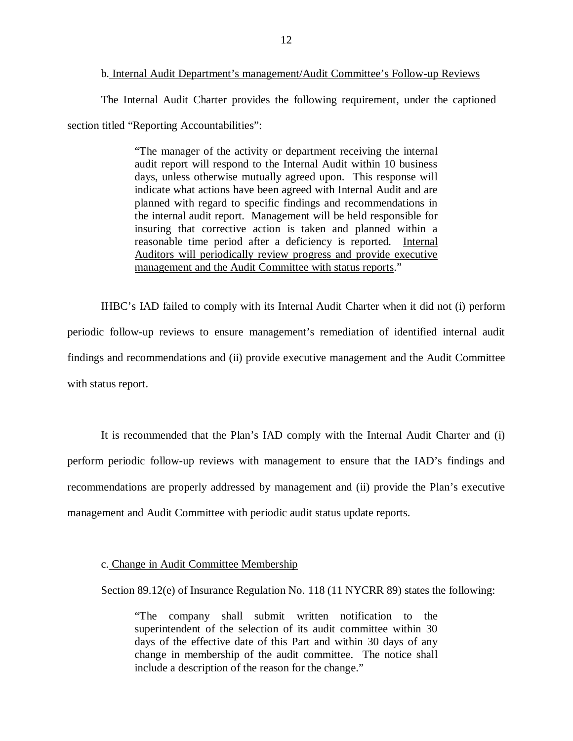section titled "Reporting Accountabilities": The Internal Audit Charter provides the following requirement, under the captioned

> "The manager of the activity or department receiving the internal audit report will respond to the Internal Audit within 10 business days, unless otherwise mutually agreed upon. This response will indicate what actions have been agreed with Internal Audit and are planned with regard to specific findings and recommendations in the internal audit report. Management will be held responsible for insuring that corrective action is taken and planned within a reasonable time period after a deficiency is reported. Internal Auditors will periodically review progress and provide executive management and the Audit Committee with status reports."

 IHBC's IAD failed to comply with its Internal Audit Charter when it did not (i) perform periodic follow-up reviews to ensure management's remediation of identified internal audit findings and recommendations and (ii) provide executive management and the Audit Committee with status report.

 perform periodic follow-up reviews with management to ensure that the IAD's findings and recommendations are properly addressed by management and (ii) provide the Plan's executive management and Audit Committee with periodic audit status update reports. It is recommended that the Plan's IAD comply with the Internal Audit Charter and (i)

c. Change in Audit Committee Membership

Section 89.12(e) of Insurance Regulation No. 118 (11 NYCRR 89) states the following:

 "The company shall submit written notification to the superintendent of the selection of its audit committee within 30 days of the effective date of this Part and within 30 days of any change in membership of the audit committee. The notice shall include a description of the reason for the change."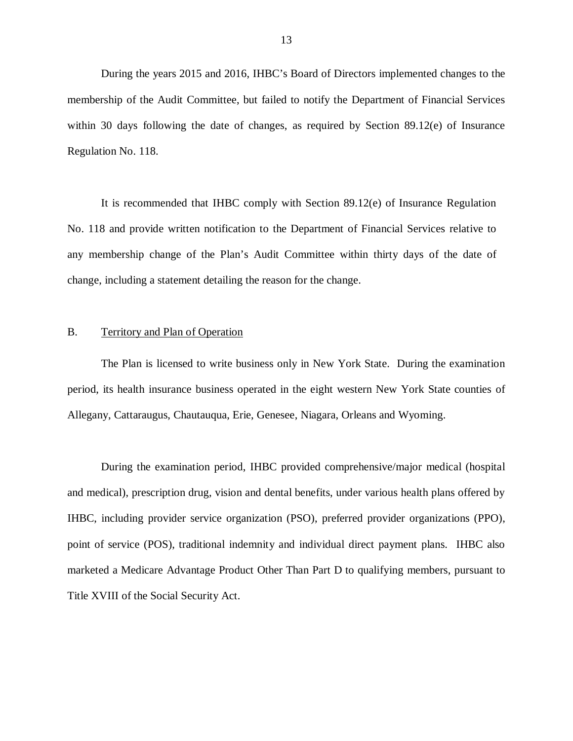<span id="page-14-0"></span> During the years 2015 and 2016, IHBC's Board of Directors implemented changes to the membership of the Audit Committee, but failed to notify the Department of Financial Services within 30 days following the date of changes, as required by Section 89.12(e) of Insurance Regulation No. 118.

 No. 118 and provide written notification to the Department of Financial Services relative to any membership change of the Plan's Audit Committee within thirty days of the date of change, including a statement detailing the reason for the change. It is recommended that IHBC comply with Section 89.12(e) of Insurance Regulation

#### B. Territory and Plan of Operation

 period, its health insurance business operated in the eight western New York State counties of Allegany, Cattaraugus, Chautauqua, Erie, Genesee, Niagara, Orleans and Wyoming. The Plan is licensed to write business only in New York State. During the examination

 During the examination period, IHBC provided comprehensive/major medical (hospital and medical), prescription drug, vision and dental benefits, under various health plans offered by IHBC, including provider service organization (PSO), preferred provider organizations (PPO), point of service (POS), traditional indemnity and individual direct payment plans. IHBC also marketed a Medicare Advantage Product Other Than Part D to qualifying members, pursuant to Title XVIII of the Social Security Act.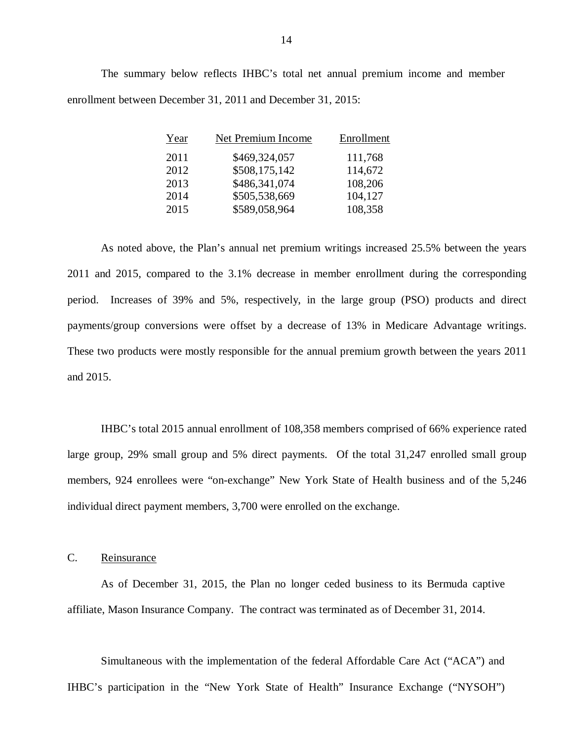enrollment between December 31, 2011 and December 31, 2015: The summary below reflects IHBC's total net annual premium income and member

| Year | Net Premium Income | Enrollment |
|------|--------------------|------------|
| 2011 | \$469,324,057      | 111,768    |
| 2012 | \$508,175,142      | 114,672    |
| 2013 | \$486,341,074      | 108,206    |
| 2014 | \$505,538,669      | 104,127    |
| 2015 | \$589,058,964      | 108,358    |

 2011 and 2015, compared to the 3.1% decrease in member enrollment during the corresponding period. Increases of 39% and 5%, respectively, in the large group (PSO) products and direct payments/group conversions were offset by a decrease of 13% in Medicare Advantage writings. These two products were mostly responsible for the annual premium growth between the years 2011 and 2015. and 2015. IHBC's total 2015 annual enrollment of 108,358 members comprised of 66% experience rated As noted above, the Plan's annual net premium writings increased 25.5% between the years

 large group, 29% small group and 5% direct payments. Of the total 31,247 enrolled small group members, 924 enrollees were "on-exchange" New York State of Health business and of the 5,246 individual direct payment members, 3,700 were enrolled on the exchange.

C. Reinsurance

 affiliate, Mason Insurance Company. The contract was terminated as of December 31, 2014. As of December 31, 2015, the Plan no longer ceded business to its Bermuda captive

 Simultaneous with the implementation of the federal Affordable Care Act ("ACA") and IHBC's participation in the "New York State of Health" Insurance Exchange ("NYSOH")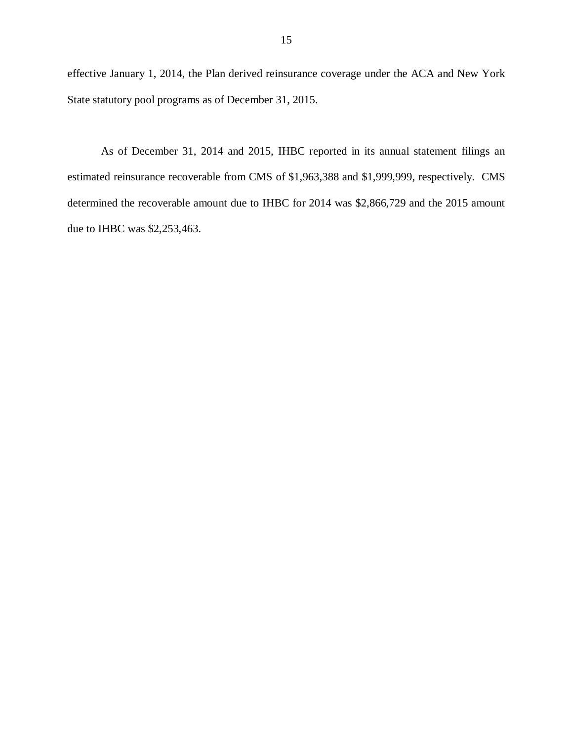effective January 1, 2014, the Plan derived reinsurance coverage under the ACA and New York State statutory pool programs as of December 31, 2015.

 estimated reinsurance recoverable from CMS of \$1,963,388 and \$1,999,999, respectively. CMS determined the recoverable amount due to IHBC for 2014 was \$2,866,729 and the 2015 amount due to IHBC was \$2,253,463. As of December 31, 2014 and 2015, IHBC reported in its annual statement filings an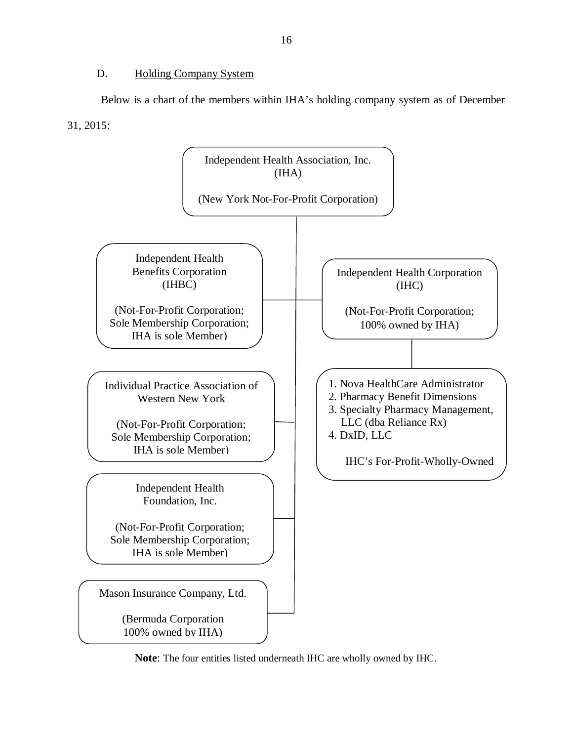#### D. Holding Company System

<span id="page-17-0"></span> Below is a chart of the members within IHA's holding company system as of December 31, 2015:



**Note**: The four entities listed underneath IHC are wholly owned by IHC.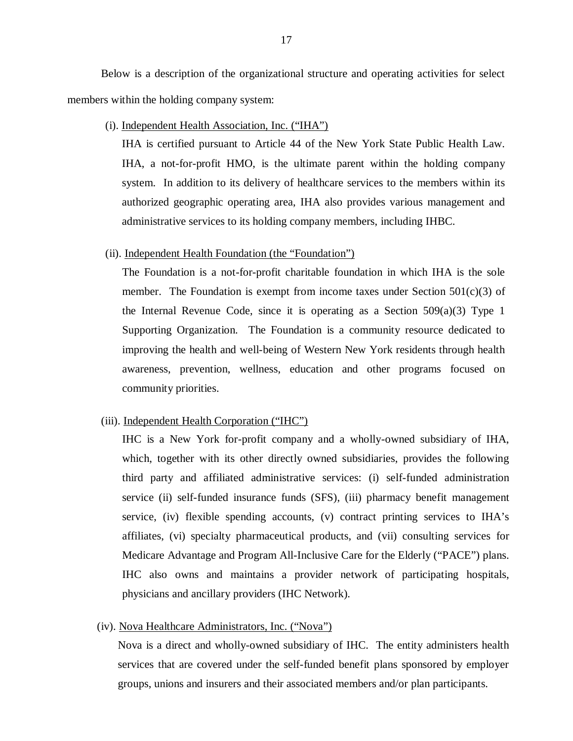Below is a description of the organizational structure and operating activities for select members within the holding company system:

(i). Independent Health Association, Inc. ("IHA")

 IHA is certified pursuant to Article 44 of the New York State Public Health Law. IHA, a not-for-profit HMO, is the ultimate parent within the holding company system. In addition to its delivery of healthcare services to the members within its authorized geographic operating area, IHA also provides various management and administrative services to its holding company members, including IHBC.

#### (ii). Independent Health Foundation (the "Foundation")

 The Foundation is a not-for-profit charitable foundation in which IHA is the sole member. The Foundation is exempt from income taxes under Section 501(c)(3) of the Internal Revenue Code, since it is operating as a Section 509(a)(3) Type 1 Supporting Organization. The Foundation is a community resource dedicated to improving the health and well-being of Western New York residents through health awareness, prevention, wellness, education and other programs focused on community priorities.

#### (iii). Independent Health Corporation ("IHC")

 IHC is a New York for-profit company and a wholly-owned subsidiary of IHA, which, together with its other directly owned subsidiaries, provides the following third party and affiliated administrative services: (i) self-funded administration service (ii) self-funded insurance funds (SFS), (iii) pharmacy benefit management service, (iv) flexible spending accounts, (v) contract printing services to IHA's affiliates, (vi) specialty pharmaceutical products, and (vii) consulting services for Medicare Advantage and Program All-Inclusive Care for the Elderly ("PACE") plans. IHC also owns and maintains a provider network of participating hospitals, physicians and ancillary providers (IHC Network).

#### (iv). Nova Healthcare Administrators, Inc. ("Nova")

 Nova is a direct and wholly-owned subsidiary of IHC. The entity administers health services that are covered under the self-funded benefit plans sponsored by employer groups, unions and insurers and their associated members and/or plan participants.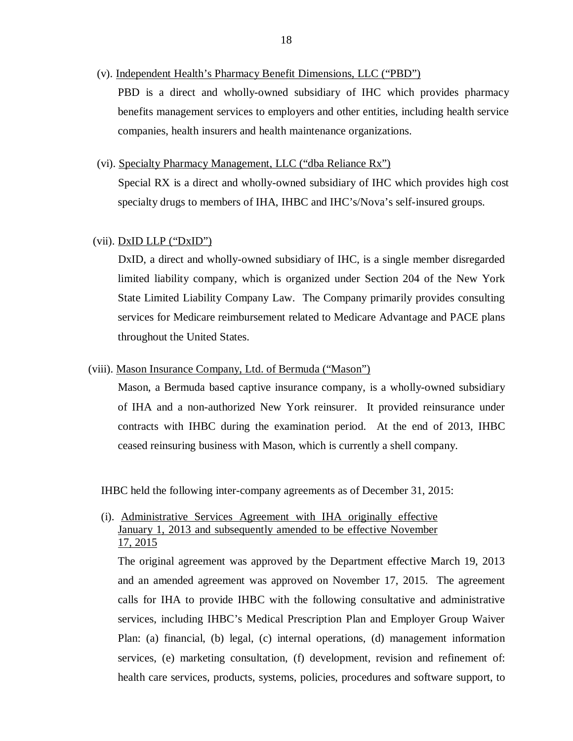(v). Independent Health's Pharmacy Benefit Dimensions, LLC ("PBD")

 PBD is a direct and wholly-owned subsidiary of IHC which provides pharmacy benefits management services to employers and other entities, including health service companies, health insurers and health maintenance organizations.

(vi). Specialty Pharmacy Management, LLC ("dba Reliance Rx")

 Special RX is a direct and wholly-owned subsidiary of IHC which provides high cost specialty drugs to members of IHA, IHBC and IHC's/Nova's self-insured groups.

#### (vii). DxID LLP ("DxID")

 DxID, a direct and wholly-owned subsidiary of IHC, is a single member disregarded limited liability company, which is organized under Section 204 of the New York State Limited Liability Company Law. The Company primarily provides consulting services for Medicare reimbursement related to Medicare Advantage and PACE plans throughout the United States.

#### (viii). Mason Insurance Company, Ltd. of Bermuda ("Mason")

 Mason, a Bermuda based captive insurance company, is a wholly-owned subsidiary of IHA and a non-authorized New York reinsurer. It provided reinsurance under contracts with IHBC during the examination period. At the end of 2013, IHBC ceased reinsuring business with Mason, which is currently a shell company.

IHBC held the following inter-company agreements as of December 31, 2015:

## (i). Administrative Services Agreement with IHA originally effective January 1, 2013 and subsequently amended to be effective November 17, 2015

 The original agreement was approved by the Department effective March 19, 2013 and an amended agreement was approved on November 17, 2015. The agreement calls for IHA to provide IHBC with the following consultative and administrative services, including IHBC's Medical Prescription Plan and Employer Group Waiver Plan: (a) financial, (b) legal, (c) internal operations, (d) management information services, (e) marketing consultation, (f) development, revision and refinement of: health care services, products, systems, policies, procedures and software support, to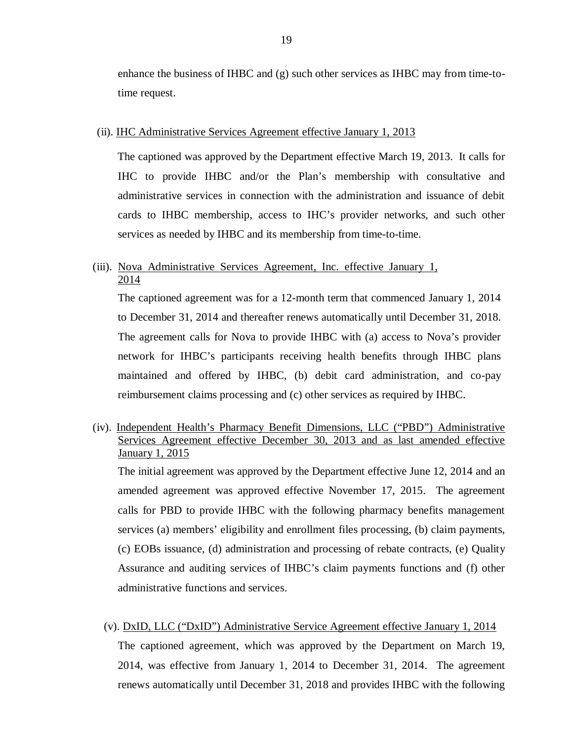enhance the business of IHBC and (g) such other services as IHBC may from time-to-time request.

#### (ii). **IHC Administrative Services Agreement effective January 1, 2013**

 The captioned was approved by the Department effective March 19, 2013. It calls for IHC to provide IHBC and/or the Plan's membership with consultative and administrative services in connection with the administration and issuance of debit cards to IHBC membership, access to IHC's provider networks, and such other services as needed by IHBC and its membership from time-to-time.

## (iii). Nova Administrative Services Agreement, Inc. effective January 1, 2014

 The captioned agreement was for a 12-month term that commenced January 1, 2014 to December 31, 2014 and thereafter renews automatically until December 31, 2018. The agreement calls for Nova to provide IHBC with (a) access to Nova's provider network for IHBC's participants receiving health benefits through IHBC plans maintained and offered by IHBC, (b) debit card administration, and co-pay reimbursement claims processing and (c) other services as required by IHBC.

## (iv). Independent Health's Pharmacy Benefit Dimensions, LLC ("PBD") Administrative Services Agreement effective December 30, 2013 and as last amended effective January 1, 2015

 The initial agreement was approved by the Department effective June 12, 2014 and an amended agreement was approved effective November 17, 2015. The agreement calls for PBD to provide IHBC with the following pharmacy benefits management services (a) members' eligibility and enrollment files processing, (b) claim payments, (c) EOBs issuance, (d) administration and processing of rebate contracts, (e) Quality Assurance and auditing services of IHBC's claim payments functions and (f) other administrative functions and services.

# (v). DxID, LLC ("DxID") Administrative Service Agreement effective January 1, 2014 The captioned agreement, which was approved by the Department on March 19, 2014, was effective from January 1, 2014 to December 31, 2014. The agreement renews automatically until December 31, 2018 and provides IHBC with the following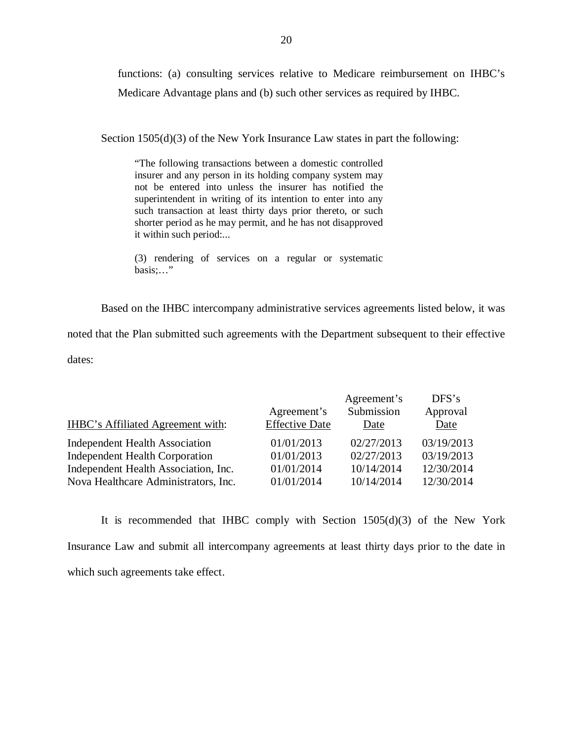functions: (a) consulting services relative to Medicare reimbursement on IHBC's Medicare Advantage plans and (b) such other services as required by IHBC.

Section 1505(d)(3) of the New York Insurance Law states in part the following:

 "The following transactions between a domestic controlled insurer and any person in its holding company system may not be entered into unless the insurer has notified the superintendent in writing of its intention to enter into any such transaction at least thirty days prior thereto, or such shorter period as he may permit, and he has not disapproved it within such period:...

 (3) rendering of services on a regular or systematic basis;…"

Based on the IHBC intercompany administrative services agreements listed below, it was

noted that the Plan submitted such agreements with the Department subsequent to their effective

dates:

| IHBC's Affiliated Agreement with:     | Agreement's<br><b>Effective Date</b> | Agreement's<br>Submission<br>Date | DFS's<br>Approval<br>Date |
|---------------------------------------|--------------------------------------|-----------------------------------|---------------------------|
| <b>Independent Health Association</b> | 01/01/2013                           | 02/27/2013                        | 03/19/2013                |
| <b>Independent Health Corporation</b> | 01/01/2013                           | 02/27/2013                        | 03/19/2013                |
| Independent Health Association, Inc.  | 01/01/2014                           | 10/14/2014                        | 12/30/2014                |
| Nova Healthcare Administrators, Inc.  | 01/01/2014                           | 10/14/2014                        | 12/30/2014                |

 Insurance Law and submit all intercompany agreements at least thirty days prior to the date in which such agreements take effect. It is recommended that IHBC comply with Section 1505(d)(3) of the New York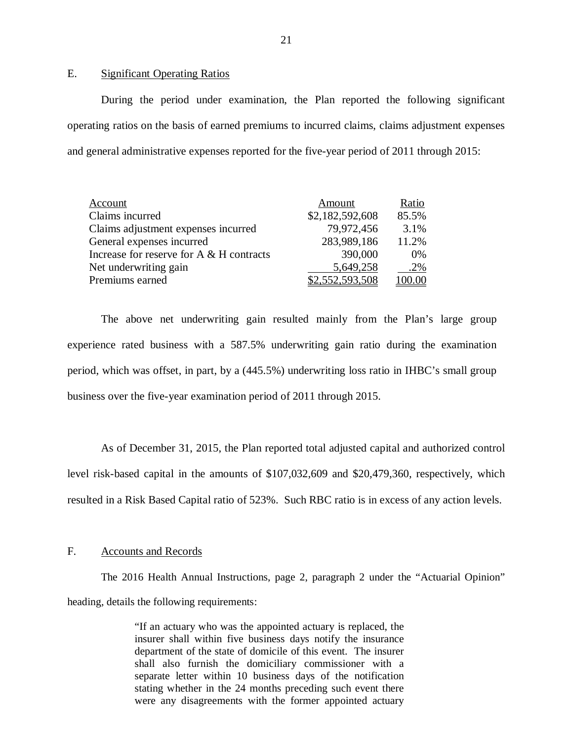E. Significant Operating Ratios

 During the period under examination, the Plan reported the following significant operating ratios on the basis of earned premiums to incurred claims, claims adjustment expenses and general administrative expenses reported for the five-year period of 2011 through 2015:

| Account                                     | Amount          | Ratio  |
|---------------------------------------------|-----------------|--------|
| Claims incurred                             | \$2,182,592,608 | 85.5%  |
| Claims adjustment expenses incurred         | 79,972,456      | 3.1%   |
| General expenses incurred                   | 283,989,186     | 11.2%  |
| Increase for reserve for $A \& H$ contracts | 390,000         | $0\%$  |
| Net underwriting gain                       | 5,649,258       | .2%    |
| Premiums earned                             | \$2,552,593,508 | 100.00 |

 experience rated business with a 587.5% underwriting gain ratio during the examination period, which was offset, in part, by a (445.5%) underwriting loss ratio in IHBC's small group business over the five-year examination period of 2011 through 2015. The above net underwriting gain resulted mainly from the Plan's large group

 As of December 31, 2015, the Plan reported total adjusted capital and authorized control level risk-based capital in the amounts of \$107,032,609 and \$20,479,360, respectively, which resulted in a Risk Based Capital ratio of 523%. Such RBC ratio is in excess of any action levels.

#### F. Accounts and Records

 heading, details the following requirements: The 2016 Health Annual Instructions, page 2, paragraph 2 under the "Actuarial Opinion"

> "If an actuary who was the appointed actuary is replaced, the insurer shall within five business days notify the insurance department of the state of domicile of this event. The insurer shall also furnish the domiciliary commissioner with a separate letter within 10 business days of the notification stating whether in the 24 months preceding such event there were any disagreements with the former appointed actuary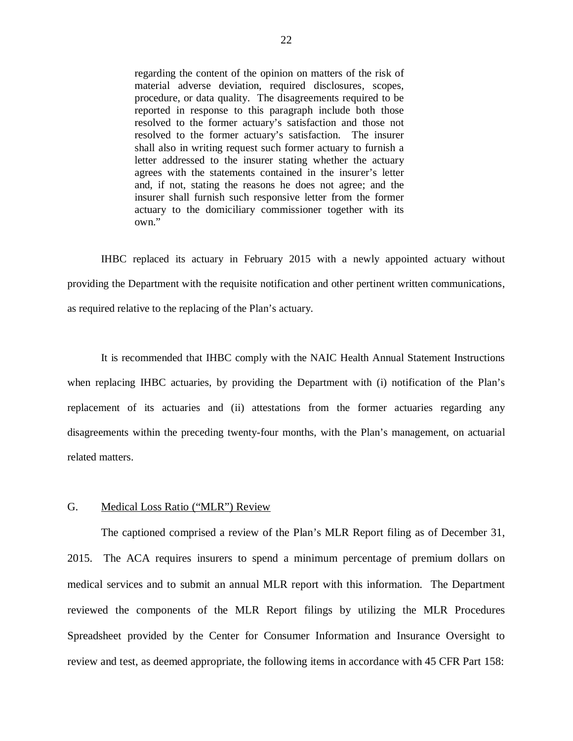<span id="page-23-0"></span> regarding the content of the opinion on matters of the risk of material adverse deviation, required disclosures, scopes, procedure, or data quality. The disagreements required to be reported in response to this paragraph include both those resolved to the former actuary's satisfaction and those not resolved to the former actuary's satisfaction. The insurer shall also in writing request such former actuary to furnish a letter addressed to the insurer stating whether the actuary agrees with the statements contained in the insurer's letter and, if not, stating the reasons he does not agree; and the insurer shall furnish such responsive letter from the former actuary to the domiciliary commissioner together with its own."

 IHBC replaced its actuary in February 2015 with a newly appointed actuary without providing the Department with the requisite notification and other pertinent written communications, as required relative to the replacing of the Plan's actuary.

 when replacing IHBC actuaries, by providing the Department with (i) notification of the Plan's replacement of its actuaries and (ii) attestations from the former actuaries regarding any disagreements within the preceding twenty-four months, with the Plan's management, on actuarial It is recommended that IHBC comply with the NAIC Health Annual Statement Instructions related matters.

#### G. Medical Loss Ratio ("MLR") Review

 2015. The ACA requires insurers to spend a minimum percentage of premium dollars on medical services and to submit an annual MLR report with this information. The Department reviewed the components of the MLR Report filings by utilizing the MLR Procedures Spreadsheet provided by the Center for Consumer Information and Insurance Oversight to review and test, as deemed appropriate, the following items in accordance with 45 CFR Part 158: The captioned comprised a review of the Plan's MLR Report filing as of December 31,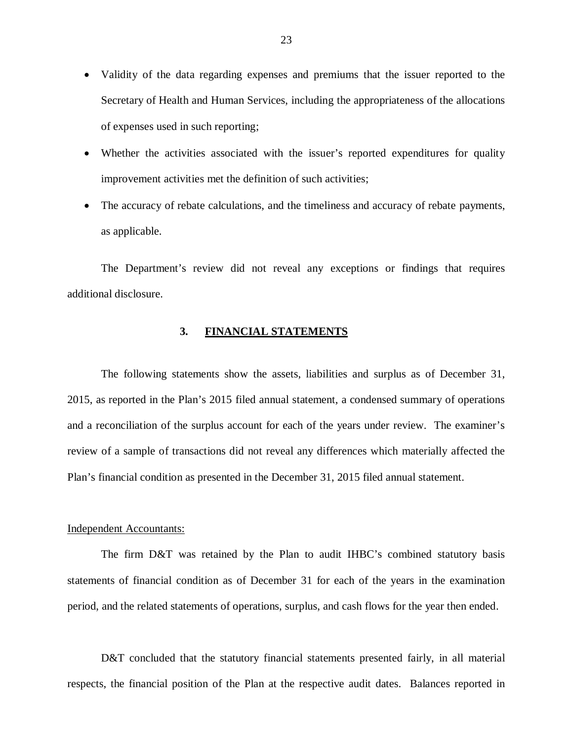- <span id="page-24-0"></span> Validity of the data regarding expenses and premiums that the issuer reported to the Secretary of Health and Human Services, including the appropriateness of the allocations of expenses used in such reporting;
- Whether the activities associated with the issuer's reported expenditures for quality improvement activities met the definition of such activities;
- The accuracy of rebate calculations, and the timeliness and accuracy of rebate payments, as applicable.

 The Department's review did not reveal any exceptions or findings that requires additional disclosure.

#### **3. FINANCIAL STATEMENTS**

 2015, as reported in the Plan's 2015 filed annual statement, a condensed summary of operations and a reconciliation of the surplus account for each of the years under review. The examiner's review of a sample of transactions did not reveal any differences which materially affected the Plan's financial condition as presented in the December 31, 2015 filed annual statement. The following statements show the assets, liabilities and surplus as of December 31,

#### Independent Accountants:

 statements of financial condition as of December 31 for each of the years in the examination period, and the related statements of operations, surplus, and cash flows for the year then ended. The firm D&T was retained by the Plan to audit IHBC's combined statutory basis

 D&T concluded that the statutory financial statements presented fairly, in all material respects, the financial position of the Plan at the respective audit dates. Balances reported in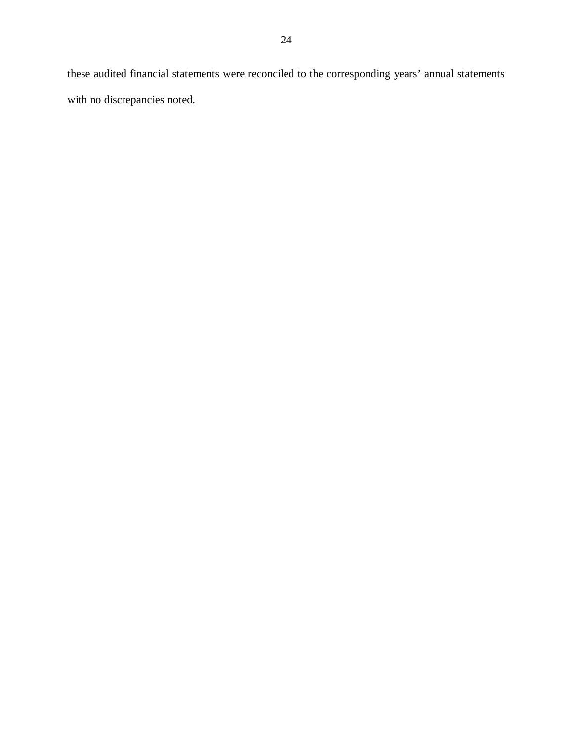these audited financial statements were reconciled to the corresponding years' annual statements with no discrepancies noted.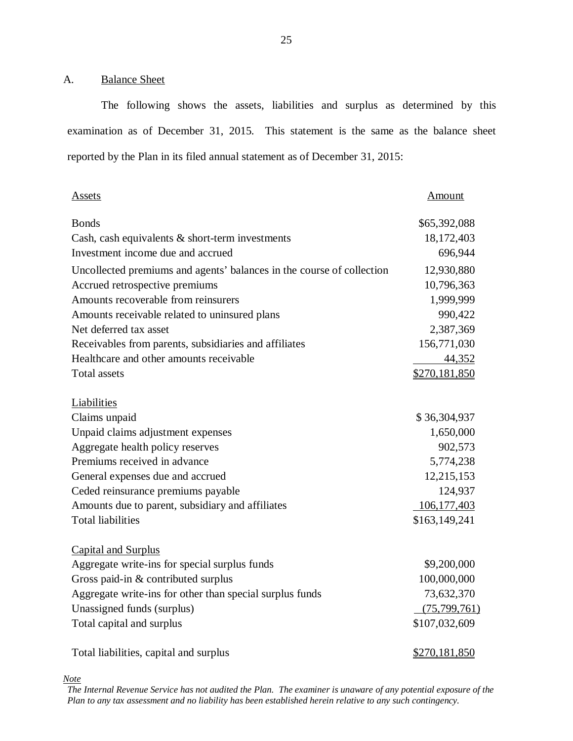#### <span id="page-26-0"></span>A. Balance Sheet

 The following shows the assets, liabilities and surplus as determined by this examination as of December 31, 2015. This statement is the same as the balance sheet reported by the Plan in its filed annual statement as of December 31, 2015:

| Assets                                                                | Amount         |
|-----------------------------------------------------------------------|----------------|
| <b>Bonds</b>                                                          | \$65,392,088   |
| Cash, cash equivalents $\&$ short-term investments                    | 18,172,403     |
| Investment income due and accrued                                     | 696,944        |
| Uncollected premiums and agents' balances in the course of collection | 12,930,880     |
| Accrued retrospective premiums                                        | 10,796,363     |
| Amounts recoverable from reinsurers                                   | 1,999,999      |
| Amounts receivable related to uninsured plans                         | 990,422        |
| Net deferred tax asset                                                | 2,387,369      |
| Receivables from parents, subsidiaries and affiliates                 | 156,771,030    |
| Healthcare and other amounts receivable                               | 44,352         |
| <b>Total assets</b>                                                   | \$270,181,850  |
| Liabilities                                                           |                |
| Claims unpaid                                                         | \$36,304,937   |
| Unpaid claims adjustment expenses                                     | 1,650,000      |
| Aggregate health policy reserves                                      | 902,573        |
| Premiums received in advance                                          | 5,774,238      |
| General expenses due and accrued                                      | 12,215,153     |
| Ceded reinsurance premiums payable                                    | 124,937        |
| Amounts due to parent, subsidiary and affiliates                      | 106, 177, 403  |
| <b>Total liabilities</b>                                              | \$163,149,241  |
| <b>Capital and Surplus</b>                                            |                |
| Aggregate write-ins for special surplus funds                         | \$9,200,000    |
| Gross paid-in & contributed surplus                                   | 100,000,000    |
| Aggregate write-ins for other than special surplus funds              | 73,632,370     |
| Unassigned funds (surplus)                                            | (75, 799, 761) |
| Total capital and surplus                                             | \$107,032,609  |
| Total liabilities, capital and surplus                                | \$270,181,850  |

*Note* 

 *The Internal Revenue Service has not audited the Plan. The examiner is unaware of any potential exposure of the Plan to any tax assessment and no liability has been established herein relative to any such contingency.*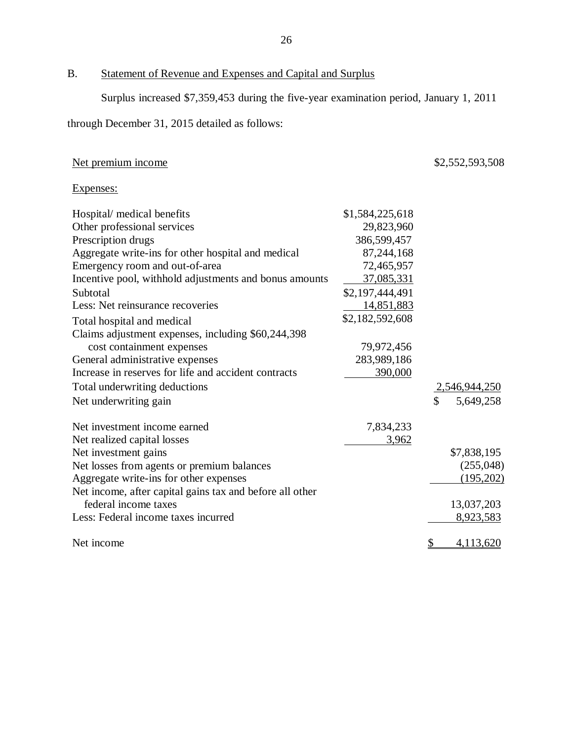#### B. Statement of Revenue and Expenses and Capital and Surplus

Surplus increased \$7,359,453 during the five-year examination period, January 1, 2011

through December 31, 2015 detailed as follows:

#### Net premium income  $$2,552,593,508$

## Expenses:

| Hospital/ medical benefits                                                       | \$1,584,225,618 |               |                      |
|----------------------------------------------------------------------------------|-----------------|---------------|----------------------|
| Other professional services                                                      | 29,823,960      |               |                      |
| Prescription drugs                                                               | 386,599,457     |               |                      |
| Aggregate write-ins for other hospital and medical                               | 87,244,168      |               |                      |
| Emergency room and out-of-area                                                   | 72,465,957      |               |                      |
| Incentive pool, withhold adjustments and bonus amounts                           | 37,085,331      |               |                      |
| Subtotal                                                                         | \$2,197,444,491 |               |                      |
| Less: Net reinsurance recoveries                                                 | 14,851,883      |               |                      |
| Total hospital and medical                                                       | \$2,182,592,608 |               |                      |
| Claims adjustment expenses, including \$60,244,398                               |                 |               |                      |
| cost containment expenses                                                        | 79,972,456      |               |                      |
| General administrative expenses                                                  | 283,989,186     |               |                      |
| Increase in reserves for life and accident contracts                             | 390,000         |               |                      |
| Total underwriting deductions                                                    |                 |               | <u>2,546,944,250</u> |
| Net underwriting gain                                                            |                 | \$            | 5,649,258            |
| Net investment income earned                                                     | 7,834,233       |               |                      |
| Net realized capital losses                                                      | 3,962           |               |                      |
| Net investment gains                                                             |                 |               | \$7,838,195          |
| Net losses from agents or premium balances                                       |                 |               | (255,048)            |
| Aggregate write-ins for other expenses                                           |                 |               | (195,202)            |
| Net income, after capital gains tax and before all other<br>federal income taxes |                 |               |                      |
|                                                                                  |                 |               | 13,037,203           |
| Less: Federal income taxes incurred                                              |                 |               | 8,923,583            |
| Net income                                                                       |                 | $\mathcal{L}$ | 4,113,620            |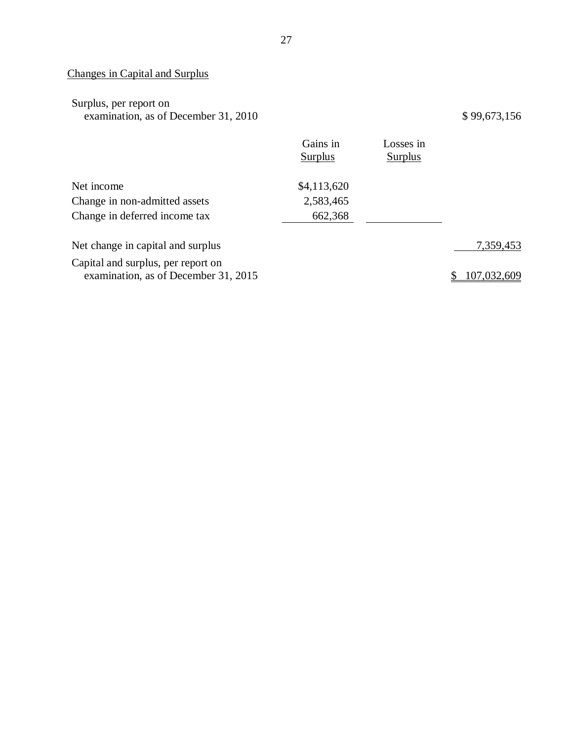#### Changes in Capital and Surplus

| Surplus, per report on               |  |
|--------------------------------------|--|
| examination, as of December 31, 2010 |  |

 $$99,673,156$ 

|                                                                            | Gains in<br><b>Surplus</b> | Losses in<br><b>Surplus</b> |             |
|----------------------------------------------------------------------------|----------------------------|-----------------------------|-------------|
| Net income                                                                 | \$4,113,620                |                             |             |
| Change in non-admitted assets                                              | 2,583,465                  |                             |             |
| Change in deferred income tax                                              | 662,368                    |                             |             |
| Net change in capital and surplus                                          |                            |                             | 7,359,453   |
| Capital and surplus, per report on<br>examination, as of December 31, 2015 |                            |                             | 107,032,609 |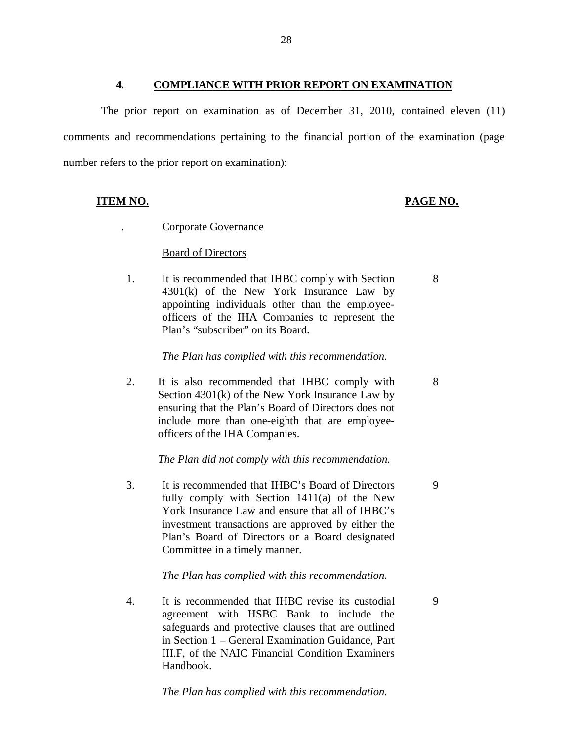<span id="page-29-0"></span> comments and recommendations pertaining to the financial portion of the examination (page number refers to the prior report on examination): The prior report on examination as of December 31, 2010, contained eleven (11)

## **ITEM NO. PAGE NO.**

. Corporate Governance

#### **Board of Directors**

1. 4301(k) of the New York Insurance Law by appointing individuals other than the employee- officers of the IHA Companies to represent the Plan's "subscriber" on its Board. It is recommended that IHBC comply with Section 8

#### *The Plan has complied with this recommendation.*

 $2.$  Section 4301(k) of the New York Insurance Law by ensuring that the Plan's Board of Directors does not include more than one-eighth that are employee- officers of the IHA Companies. It is also recommended that IHBC comply with 8

#### *The Plan did not comply with this recommendation.*

 $3.$  fully comply with Section 1411(a) of the New York Insurance Law and ensure that all of IHBC's investment transactions are approved by either the Plan's Board of Directors or a Board designated Committee in a timely manner. It is recommended that IHBC's Board of Directors 9

#### *The Plan has complied with this recommendation.*

 $\overline{4}$ . agreement with HSBC Bank to include the safeguards and protective clauses that are outlined in Section 1 – General Examination Guidance, Part III.F, of the NAIC Financial Condition Examiners It is recommended that IHBC revise its custodial 9 Handbook.

 *The Plan has complied with this recommendation.*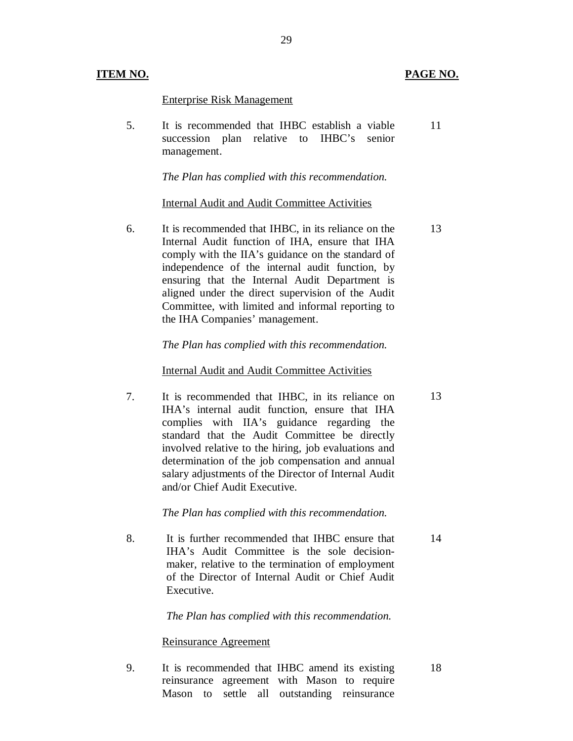#### **ITEM NO.**

#### PAGE NO.

13

13

14

#### Enterprise Risk Management

 $5<sub>1</sub>$  succession plan relative to IHBC's senior It is recommended that IHBC establish a viable management. 11

 *The Plan has complied with this recommendation.* 

#### Internal Audit and Audit Committee Activities

6. Internal Audit function of IHA, ensure that IHA comply with the IIA's guidance on the standard of independence of the internal audit function, by ensuring that the Internal Audit Department is aligned under the direct supervision of the Audit Committee, with limited and informal reporting to the IHA Companies' management. It is recommended that IHBC, in its reliance on the

#### *The Plan has complied with this recommendation.*

#### Internal Audit and Audit Committee Activities

7. IHA's internal audit function, ensure that IHA complies with IIA's guidance regarding the standard that the Audit Committee be directly involved relative to the hiring, job evaluations and determination of the job compensation and annual salary adjustments of the Director of Internal Audit and/or Chief Audit Executive. It is recommended that IHBC, in its reliance on

#### *The Plan has complied with this recommendation.*

8. IHA's Audit Committee is the sole decision- maker, relative to the termination of employment of the Director of Internal Audit or Chief Audit It is further recommended that IHBC ensure that Executive.

#### *The Plan has complied with this recommendation.*

#### Reinsurance Agreement

9. reinsurance agreement with Mason to require Mason to settle all outstanding reinsurance It is recommended that IHBC amend its existing 18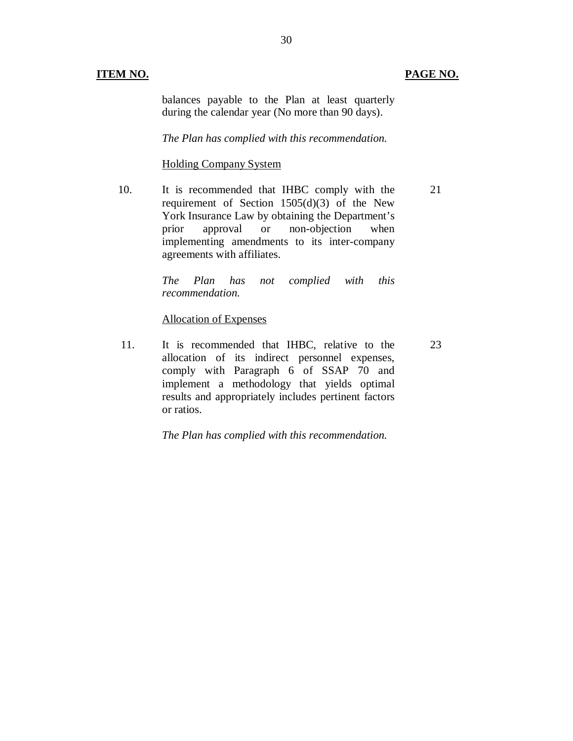#### **ITEM NO.**

#### **PAGE NO.**

23

 balances payable to the Plan at least quarterly during the calendar year (No more than 90 days).

 *The Plan has complied with this recommendation.* 

#### Holding Company System

10. requirement of Section 1505(d)(3) of the New York Insurance Law by obtaining the Department's prior implementing amendments to its inter-company agreements with affiliates. It is recommended that IHBC comply with the approval or non-objection when 21

> $has$ *The Plan has recommendation. not complied with this*

#### Allocation of Expenses

11. allocation of its indirect personnel expenses, comply with Paragraph 6 of SSAP 70 and implement a methodology that yields optimal results and appropriately includes pertinent factors or ratios. It is recommended that IHBC, relative to the

 *The Plan has complied with this recommendation.*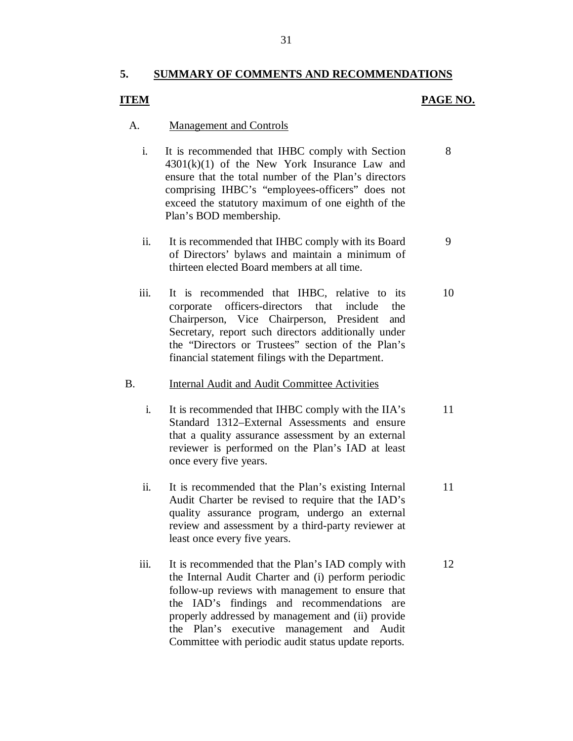#### **5. SUMMARY OF COMMENTS AND RECOMMENDATIONS**

#### **ITEM PAGE NO.**

9

11

#### A. Management and Controls

- $\mathbf{i}$ .  $4301(k)(1)$  of the New York Insurance Law and ensure that the total number of the Plan's directors comprising IHBC's "employees-officers" does not exceed the statutory maximum of one eighth of the It is recommended that IHBC comply with Section Plan's BOD membership. 8
- $ii.$  of Directors' bylaws and maintain a minimum of thirteen elected Board members at all time. It is recommended that IHBC comply with its Board
- iii. corporate officers-directors that include the Chairperson, Vice Chairperson, President and Secretary, report such directors additionally under the "Directors or Trustees" section of the Plan's financial statement filings with the Department. It is recommended that IHBC, relative to its 10

## B. **Internal Audit and Audit Committee Activities**

- $\mathbf{i}$ . that a quality assurance assessment by an external reviewer is performed on the Plan's IAD at least once every five years. It is recommended that IHBC comply with the IIA's Standard 1312–External Assessments and ensure 11
- ii. Audit Charter be revised to require that the IAD's quality assurance program, undergo an external review and assessment by a third-party reviewer at least once every five years. It is recommended that the Plan's existing Internal
- iii. the Internal Audit Charter and (i) perform periodic follow-up reviews with management to ensure that the IAD's findings and recommendations are properly addressed by management and (ii) provide the Plan's executive management and Audit Committee with periodic audit status update reports. It is recommended that the Plan's IAD comply with 12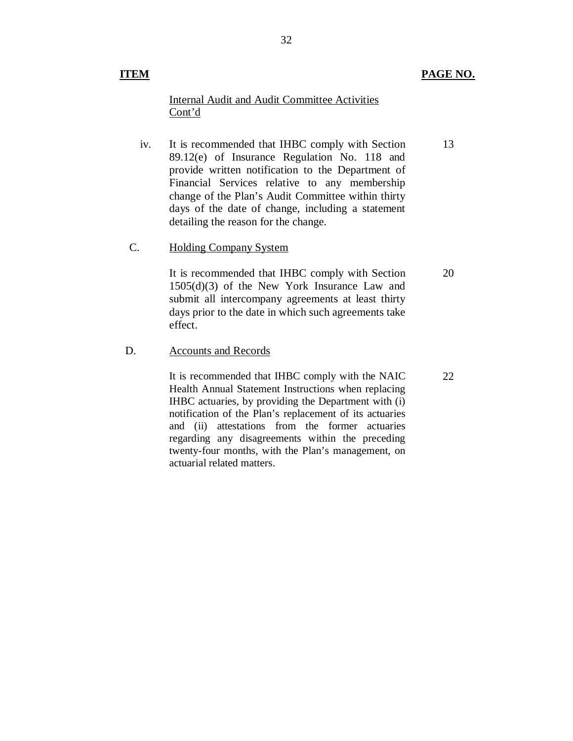#### **ITEM** PAGE NO.

### Internal Audit and Audit Committee Activities Cont'd

iv. 89.12(e) of Insurance Regulation No. 118 and provide written notification to the Department of Financial Services relative to any membership change of the Plan's Audit Committee within thirty days of the date of change, including a statement detailing the reason for the change. iv.<br>C. It is recommended that IHBC comply with Section 13

Holding Company System

 1505(d)(3) of the New York Insurance Law and submit all intercompany agreements at least thirty days prior to the date in which such agreements take It is recommended that IHBC comply with Section effect. 20

D. Accounts and Records

 It is recommended that IHBC comply with the NAIC Health Annual Statement Instructions when replacing IHBC actuaries, by providing the Department with (i) notification of the Plan's replacement of its actuaries and (ii) attestations from the former actuaries regarding any disagreements within the preceding twenty-four months, with the Plan's management, on actuarial related matters.

22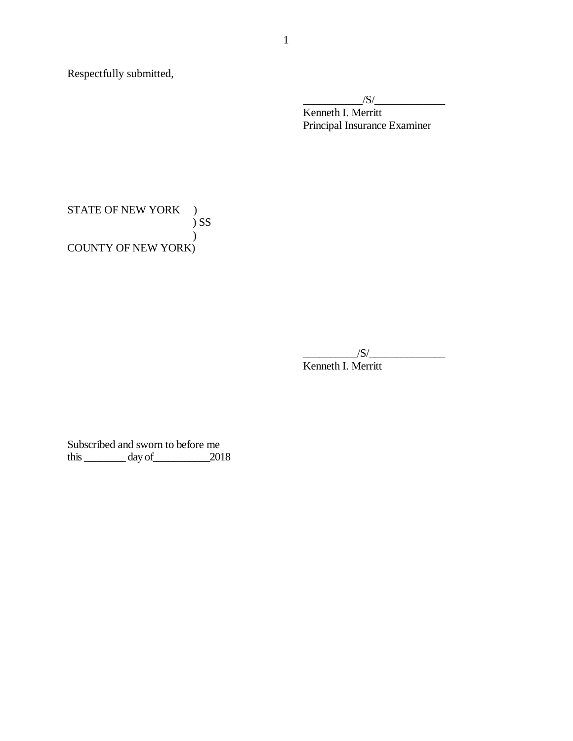Respectfully submitted,

 $\frac{|S|}{|S|}$ 

 Kenneth I. Merritt Principal Insurance Examiner

STATE OF NEW YORK ) COUNTY OF NEW YORK)  $\sum$ )

 $\sqrt{S}/\sqrt{S}$ 

Kenneth I. Merritt

 Subscribed and sworn to before me this  $\_\_\_\_\_$  day of  $\_\_\_\_$  2018